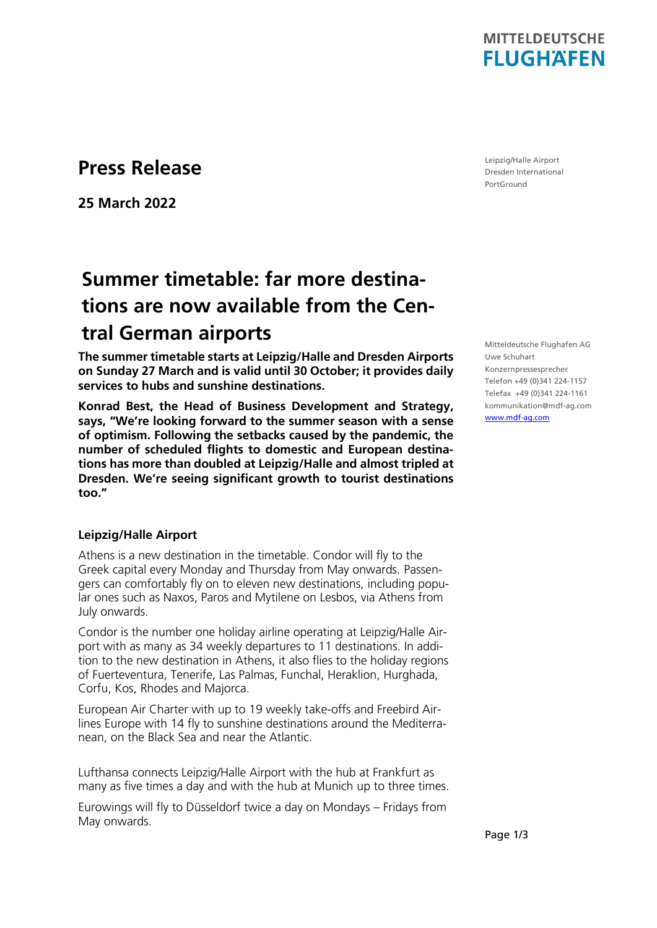

### **Press Release**

**25 March 2022**

# **Summer timetable: far more destinations are now available from the Central German airports**

**The summer timetable starts at Leipzig/Halle and Dresden Airports on Sunday 27 March and is valid until 30 October; it provides daily services to hubs and sunshine destinations.** 

**Konrad Best, the Head of Business Development and Strategy, says, "We're looking forward to the summer season with a sense of optimism. Following the setbacks caused by the pandemic, the number of scheduled flights to domestic and European destinations has more than doubled at Leipzig/Halle and almost tripled at Dresden. We're seeing significant growth to tourist destinations too."** 

#### **Leipzig/Halle Airport**

Athens is a new destination in the timetable. Condor will fly to the Greek capital every Monday and Thursday from May onwards. Passengers can comfortably fly on to eleven new destinations, including popular ones such as Naxos, Paros and Mytilene on Lesbos, via Athens from July onwards.

Condor is the number one holiday airline operating at Leipzig/Halle Airport with as many as 34 weekly departures to 11 destinations. In addition to the new destination in Athens, it also flies to the holiday regions of Fuerteventura, Tenerife, Las Palmas, Funchal, Heraklion, Hurghada, Corfu, Kos, Rhodes and Majorca.

European Air Charter with up to 19 weekly take-offs and Freebird Airlines Europe with 14 fly to sunshine destinations around the Mediterranean, on the Black Sea and near the Atlantic.

Lufthansa connects Leipzig/Halle Airport with the hub at Frankfurt as many as five times a day and with the hub at Munich up to three times.

Eurowings will fly to Düsseldorf twice a day on Mondays – Fridays from May onwards.

Leipzig/Halle Airport Dresden International PortGround

Mitteldeutsche Flughafen AG Uwe Schuhart Konzernpressesprecher Telefon +49 (0)341 224-1157 Telefax +49 (0)341 224-1161 kommunikation@mdf-ag.com [www.mdf-ag.com](file:///C:/Users/Schuhart/AppData/Local/Microsoft/Windows/Temporary%20Internet%20Files/Content.Outlook/DRBEM9WB/www.mdf-ag.com)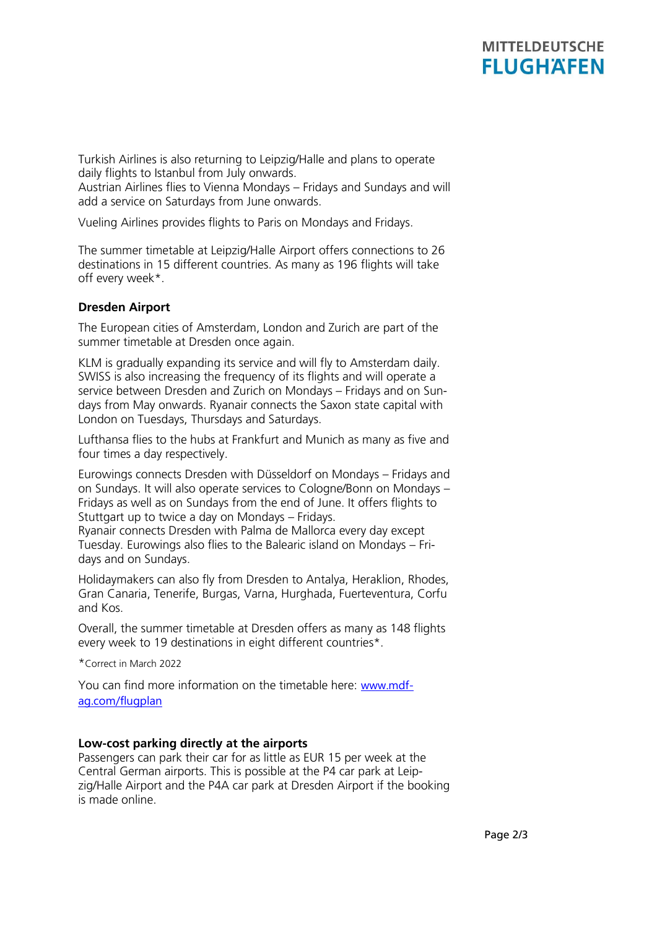## **MITTELDEUTSCHE FLUGHAFEN**

Turkish Airlines is also returning to Leipzig/Halle and plans to operate daily flights to Istanbul from July onwards.

Austrian Airlines flies to Vienna Mondays – Fridays and Sundays and will add a service on Saturdays from June onwards.

Vueling Airlines provides flights to Paris on Mondays and Fridays.

The summer timetable at Leipzig/Halle Airport offers connections to 26 destinations in 15 different countries. As many as 196 flights will take off every week\*.

### **Dresden Airport**

The European cities of Amsterdam, London and Zurich are part of the summer timetable at Dresden once again.

KLM is gradually expanding its service and will fly to Amsterdam daily. SWISS is also increasing the frequency of its flights and will operate a service between Dresden and Zurich on Mondays – Fridays and on Sundays from May onwards. Ryanair connects the Saxon state capital with London on Tuesdays, Thursdays and Saturdays.

Lufthansa flies to the hubs at Frankfurt and Munich as many as five and four times a day respectively.

Eurowings connects Dresden with Düsseldorf on Mondays – Fridays and on Sundays. It will also operate services to Cologne/Bonn on Mondays – Fridays as well as on Sundays from the end of June. It offers flights to Stuttgart up to twice a day on Mondays – Fridays.

Ryanair connects Dresden with Palma de Mallorca every day except Tuesday. Eurowings also flies to the Balearic island on Mondays – Fridays and on Sundays.

Holidaymakers can also fly from Dresden to Antalya, Heraklion, Rhodes, Gran Canaria, Tenerife, Burgas, Varna, Hurghada, Fuerteventura, Corfu and Kos.

Overall, the summer timetable at Dresden offers as many as 148 flights every week to 19 destinations in eight different countries\*.

\*Correct in March 2022

You can find more information on the timetable here: [www.mdf](http://www.mdf-ag.com/flugplan)[ag.com/flugplan](http://www.mdf-ag.com/flugplan)

### **Low-cost parking directly at the airports**

Passengers can park their car for as little as EUR 15 per week at the Central German airports. This is possible at the P4 car park at Leipzig/Halle Airport and the P4A car park at Dresden Airport if the booking is made online.